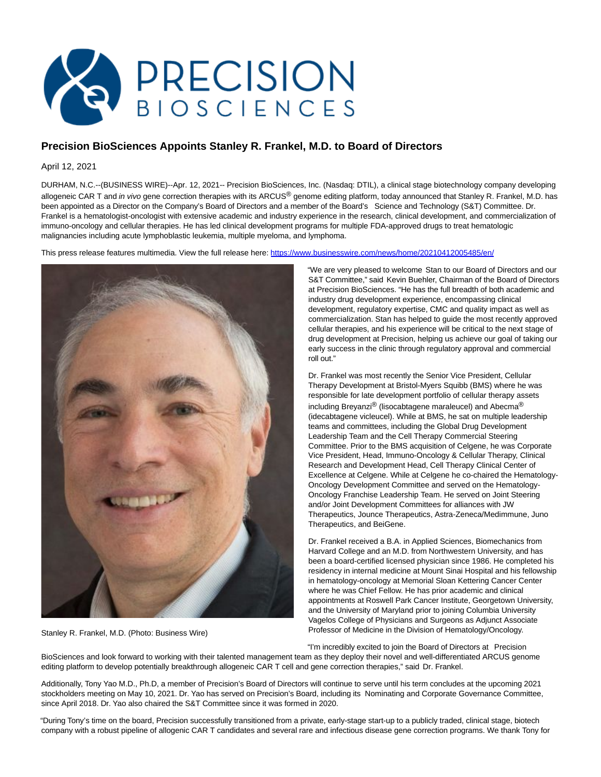

## **Precision BioSciences Appoints Stanley R. Frankel, M.D. to Board of Directors**

April 12, 2021

DURHAM, N.C.--(BUSINESS WIRE)--Apr. 12, 2021-- Precision BioSciences, Inc. (Nasdaq: DTIL), a clinical stage biotechnology company developing allogeneic CAR T and in vivo gene correction therapies with its ARCUS® genome editing platform, today announced that Stanley R. Frankel, M.D. has been appointed as a Director on the Company's Board of Directors and a member of the Board's Science and Technology (S&T) Committee. Dr. Frankel is a hematologist-oncologist with extensive academic and industry experience in the research, clinical development, and commercialization of immuno-oncology and cellular therapies. He has led clinical development programs for multiple FDA-approved drugs to treat hematologic malignancies including acute lymphoblastic leukemia, multiple myeloma, and lymphoma.

This press release features multimedia. View the full release here:<https://www.businesswire.com/news/home/20210412005485/en/>



Stanley R. Frankel, M.D. (Photo: Business Wire)

"We are very pleased to welcome Stan to our Board of Directors and our S&T Committee," said Kevin Buehler, Chairman of the Board of Directors at Precision BioSciences. "He has the full breadth of both academic and industry drug development experience, encompassing clinical development, regulatory expertise, CMC and quality impact as well as commercialization. Stan has helped to guide the most recently approved cellular therapies, and his experience will be critical to the next stage of drug development at Precision, helping us achieve our goal of taking our early success in the clinic through regulatory approval and commercial roll out."

Dr. Frankel was most recently the Senior Vice President, Cellular Therapy Development at Bristol-Myers Squibb (BMS) where he was responsible for late development portfolio of cellular therapy assets including Breyanzi® (lisocabtagene maraleucel) and Abecma<sup>®</sup> (idecabtagene vicleucel). While at BMS, he sat on multiple leadership teams and committees, including the Global Drug Development Leadership Team and the Cell Therapy Commercial Steering Committee. Prior to the BMS acquisition of Celgene, he was Corporate Vice President, Head, Immuno-Oncology & Cellular Therapy, Clinical Research and Development Head, Cell Therapy Clinical Center of Excellence at Celgene. While at Celgene he co-chaired the Hematology-Oncology Development Committee and served on the Hematology-Oncology Franchise Leadership Team. He served on Joint Steering and/or Joint Development Committees for alliances with JW Therapeutics, Jounce Therapeutics, Astra-Zeneca/Medimmune, Juno Therapeutics, and BeiGene.

Dr. Frankel received a B.A. in Applied Sciences, Biomechanics from Harvard College and an M.D. from Northwestern University, and has been a board-certified licensed physician since 1986. He completed his residency in internal medicine at Mount Sinai Hospital and his fellowship in hematology-oncology at Memorial Sloan Kettering Cancer Center where he was Chief Fellow. He has prior academic and clinical appointments at Roswell Park Cancer Institute, Georgetown University, and the University of Maryland prior to joining Columbia University Vagelos College of Physicians and Surgeons as Adjunct Associate Professor of Medicine in the Division of Hematology/Oncology.

"I'm incredibly excited to join the Board of Directors at Precision BioSciences and look forward to working with their talented management team as they deploy their novel and well-differentiated ARCUS genome editing platform to develop potentially breakthrough allogeneic CAR T cell and gene correction therapies," said Dr. Frankel.

Additionally, Tony Yao M.D., Ph.D, a member of Precision's Board of Directors will continue to serve until his term concludes at the upcoming 2021 stockholders meeting on May 10, 2021. Dr. Yao has served on Precision's Board, including its Nominating and Corporate Governance Committee, since April 2018. Dr. Yao also chaired the S&T Committee since it was formed in 2020.

"During Tony's time on the board, Precision successfully transitioned from a private, early-stage start-up to a publicly traded, clinical stage, biotech company with a robust pipeline of allogenic CAR T candidates and several rare and infectious disease gene correction programs. We thank Tony for